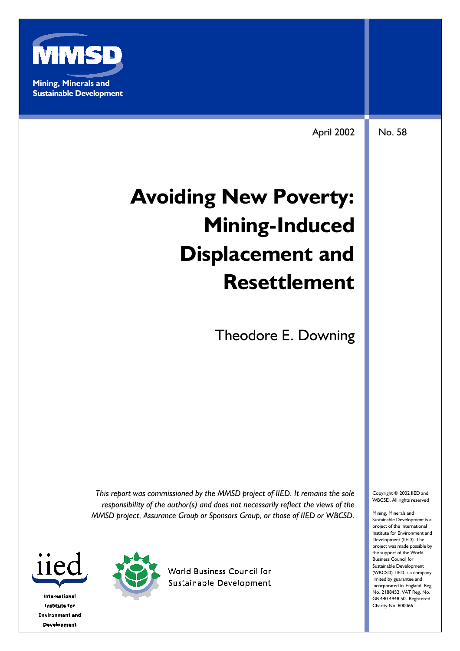

April 2002 No. 58

# **Avoiding New Poverty: Mining-Induced Displacement and Resettlement**

Theodore E. Downing

*This report was commissioned by the MMSD project of IIED. It remains the sole responsibility of the author(s) and does not necessarily reflect the views of the MMSD project, Assurance Group or Sponsors Group, or those of IIED or WBCSD.*



**International** Institute for **Environment and Development** 



**World Business Council for** Sustainable Development Copyright © 2002 IIED and WBCSD. All rights reserved

Mining, Minerals and Sustainable Development is a project of the International Institute for Environment and Development (IIED). The project was made possible by the support of the World Business Council for Sustainable Development (WBCSD). IIED is a company limited by guarantee and incorporated in England. Reg No. 2188452. VAT Reg. No. GB 440 4948 50. Registered Charity No. 800066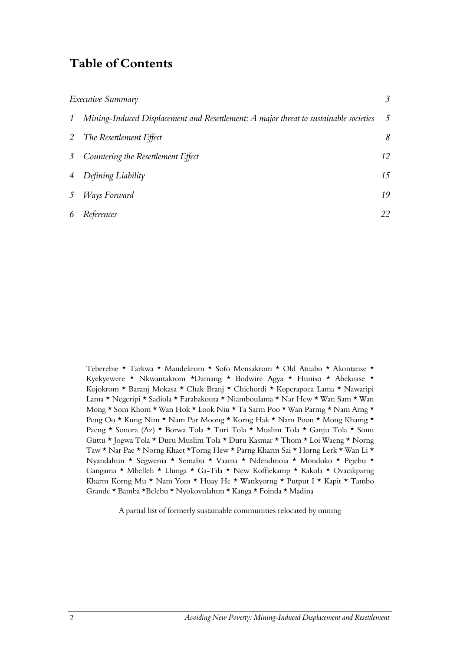### **Table of Contents**

|                | Executive Summary                                                                     | 3               |
|----------------|---------------------------------------------------------------------------------------|-----------------|
| $\mathcal{I}$  | Mining-Induced Displacement and Resettlement: A major threat to sustainable societies | $5\overline{)}$ |
|                | 2 The Resettlement Effect                                                             | 8               |
|                | 3 Countering the Resettlement Effect                                                  | 12              |
| $\overline{4}$ | Defining Liability                                                                    | 15              |
|                | 5 Ways Forward                                                                        | 19              |
| 6              | References                                                                            | 22              |

Teberebie \* Tarkwa \* Mandekrom \* Sofo Mensakrom \* Old Atuabo \* Akontanse \* Kyekyewere \* Nkwantakrom \*Damang \* Bodwire Agya \* Huniso \* Abekoase \* Kojokrom \* Baranj Mokasa \* Chak Branj \* Chichordi \* Koperapoca Lama \* Nawaripi Lama \* Negeripi \* Sadiola \* Farabakouta \* Niamboulama \* Nar Hew \* Wan Sam \* Wan Mong \* Som Khom \* Wan Hok \* Look Niu \* Ta Sarm Poo \* Wan Parmg \* Nam Arng \* Peng Oo \* Kung Nim \* Nam Par Moong \* Korng Hak \* Nam Poon \* Mong Khamg \* Paeng \* Sonora (Az) \* Borwa Tola \* Turi Tola \* Muslim Tola \* Ganju Tola \* Sonu Guttu \* Jogwa Tola \* Duru Muslim Tola \* Duru Kasmar \* Thom \* Loi Waeng \* Norng Taw \* Nar Pae \* Norng Khaet \*Torng Hew \* Parng Kharm Sai \* Horng Lerk \* Wan Li \* Nyandahun \* Segwema \* Semabu \* Vaama \* Ndendmoia \* Mondoko \* Pejebu \* Gangama \* Mbelleh \* Llunga \* Ga-Tila \* New Koffiekamp \* Kakola \* Ovacikparng Kharm Korng Mu  $\star$  Nam Yom  $\star$  Huay He  $\star$  Wankyorng  $\star$  Putput I  $\star$  Kapit  $\star$  Tambo Grande \* Bamba \*Belebu \* Nyokovulahun \* Kanga \* Foinda \* Madina

A partial list of formerly sustainable communities relocated by mining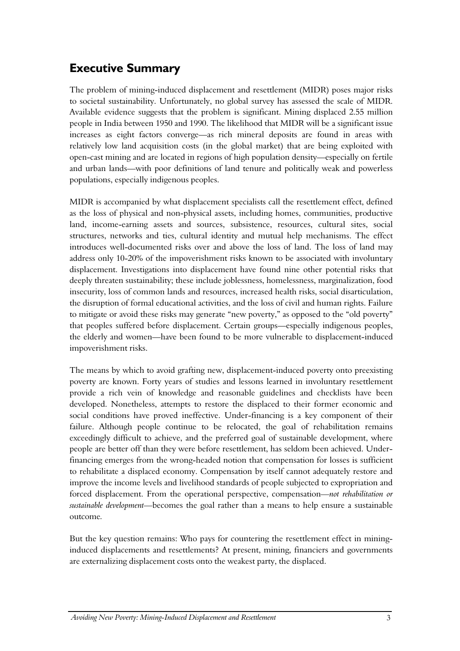# <span id="page-2-0"></span>**Executive Summary**

The problem of mining-induced displacement and resettlement (MIDR) poses major risks to societal sustainability. Unfortunately, no global survey has assessed the scale of MIDR. Available evidence suggests that the problem is significant. Mining displaced 2.55 million people in India between 1950 and 1990. The likelihood that MIDR will be a significant issue increases as eight factors converge—as rich mineral deposits are found in areas with relatively low land acquisition costs (in the global market) that are being exploited with open-cast mining and are located in regions of high population density—especially on fertile and urban lands—with poor definitions of land tenure and politically weak and powerless populations, especially indigenous peoples.

MIDR is accompanied by what displacement specialists call the resettlement effect, defined as the loss of physical and non-physical assets, including homes, communities, productive land, income-earning assets and sources, subsistence, resources, cultural sites, social structures, networks and ties, cultural identity and mutual help mechanisms. The effect introduces well-documented risks over and above the loss of land. The loss of land may address only 10-20% of the impoverishment risks known to be associated with involuntary displacement. Investigations into displacement have found nine other potential risks that deeply threaten sustainability; these include joblessness, homelessness, marginalization, food insecurity, loss of common lands and resources, increased health risks, social disarticulation, the disruption of formal educational activities, and the loss of civil and human rights. Failure to mitigate or avoid these risks may generate "new poverty," as opposed to the "old poverty" that peoples suffered before displacement. Certain groups—especially indigenous peoples, the elderly and women—have been found to be more vulnerable to displacement-induced impoverishment risks.

The means by which to avoid grafting new, displacement-induced poverty onto preexisting poverty are known. Forty years of studies and lessons learned in involuntary resettlement provide a rich vein of knowledge and reasonable guidelines and checklists have been developed. Nonetheless, attempts to restore the displaced to their former economic and social conditions have proved ineffective. Under-financing is a key component of their failure. Although people continue to be relocated, the goal of rehabilitation remains exceedingly difficult to achieve, and the preferred goal of sustainable development, where people are better off than they were before resettlement, has seldom been achieved. Underfinancing emerges from the wrong-headed notion that compensation for losses is sufficient to rehabilitate a displaced economy. Compensation by itself cannot adequately restore and improve the income levels and livelihood standards of people subjected to expropriation and forced displacement. From the operational perspective, compensation*—not rehabilitation or sustainable development—*becomes the goal rather than a means to help ensure a sustainable outcome*.* 

But the key question remains: Who pays for countering the resettlement effect in mininginduced displacements and resettlements? At present, mining, financiers and governments are externalizing displacement costs onto the weakest party, the displaced.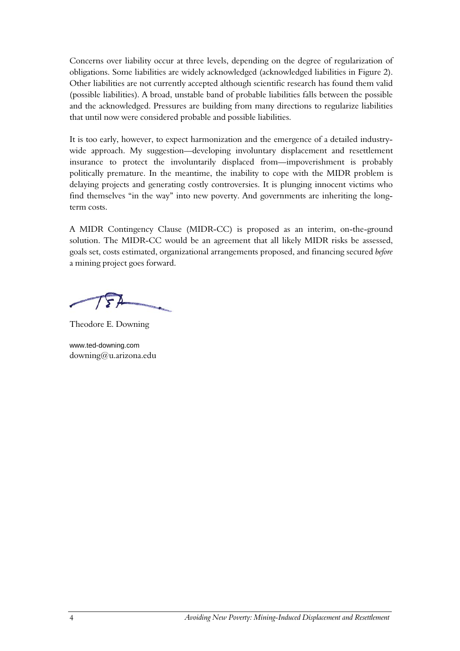Concerns over liability occur at three levels, depending on the degree of regularization of obligations. Some liabilities are widely acknowledged (acknowledged liabilities in Figure 2). Other liabilities are not currently accepted although scientific research has found them valid (possible liabilities). A broad, unstable band of probable liabilities falls between the possible and the acknowledged. Pressures are building from many directions to regularize liabilities that until now were considered probable and possible liabilities.

It is too early, however, to expect harmonization and the emergence of a detailed industrywide approach. My suggestion—developing involuntary displacement and resettlement insurance to protect the involuntarily displaced from—impoverishment is probably politically premature. In the meantime, the inability to cope with the MIDR problem is delaying projects and generating costly controversies. It is plunging innocent victims who find themselves "in the way" into new poverty. And governments are inheriting the longterm costs.

A MIDR Contingency Clause (MIDR-CC) is proposed as an interim, on-the-ground solution. The MIDR-CC would be an agreement that all likely MIDR risks be assessed, goals set, costs estimated, organizational arrangements proposed, and financing secured *before* a mining project goes forward.

Theodore E. Downing

www.ted-downing.com downing@u.arizona.edu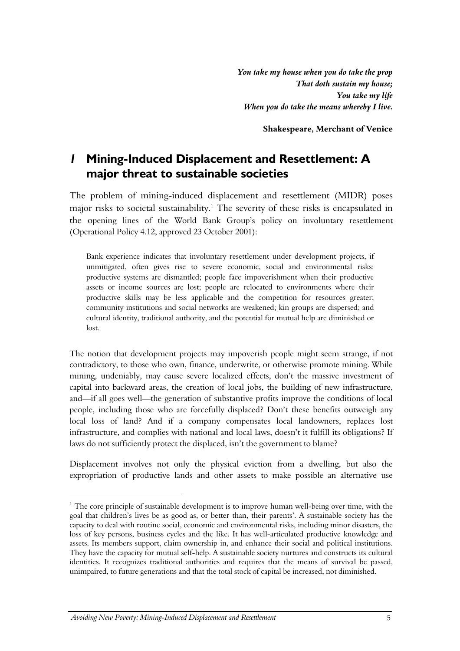*You take my house when you do take the prop That doth sustain my house; You take my life When you do take the means whereby I live.* 

**Shakespeare, Merchant of Venice**

### <span id="page-4-0"></span>*1* **Mining-Induced Displacement and Resettlement: A major threat to sustainable societies**

The problem of mining-induced displacement and resettlement (MIDR) poses major risks to societal sustainability.<sup>1</sup> The severity of these risks is encapsulated in the opening lines of the World Bank Group's policy on involuntary resettlement (Operational Policy 4.12, approved 23 October 2001):

Bank experience indicates that involuntary resettlement under development projects, if unmitigated, often gives rise to severe economic, social and environmental risks: productive systems are dismantled; people face impoverishment when their productive assets or income sources are lost; people are relocated to environments where their productive skills may be less applicable and the competition for resources greater; community institutions and social networks are weakened; kin groups are dispersed; and cultural identity, traditional authority, and the potential for mutual help are diminished or lost.

The notion that development projects may impoverish people might seem strange, if not contradictory, to those who own, finance, underwrite, or otherwise promote mining. While mining, undeniably, may cause severe localized effects, don't the massive investment of capital into backward areas, the creation of local jobs, the building of new infrastructure, and—if all goes well—the generation of substantive profits improve the conditions of local people, including those who are forcefully displaced? Don't these benefits outweigh any local loss of land? And if a company compensates local landowners, replaces lost infrastructure, and complies with national and local laws, doesn't it fulfill its obligations? If laws do not sufficiently protect the displaced, isn't the government to blame?

Displacement involves not only the physical eviction from a dwelling, but also the expropriation of productive lands and other assets to make possible an alternative use

<sup>&</sup>lt;sup>1</sup> The core principle of sustainable development is to improve human well-being over time, with the goal that children's lives be as good as, or better than, their parents'. A sustainable society has the capacity to deal with routine social, economic and environmental risks, including minor disasters, the loss of key persons, business cycles and the like. It has well-articulated productive knowledge and assets. Its members support, claim ownership in, and enhance their social and political institutions. They have the capacity for mutual self-help. A sustainable society nurtures and constructs its cultural identities. It recognizes traditional authorities and requires that the means of survival be passed, unimpaired, to future generations and that the total stock of capital be increased, not diminished.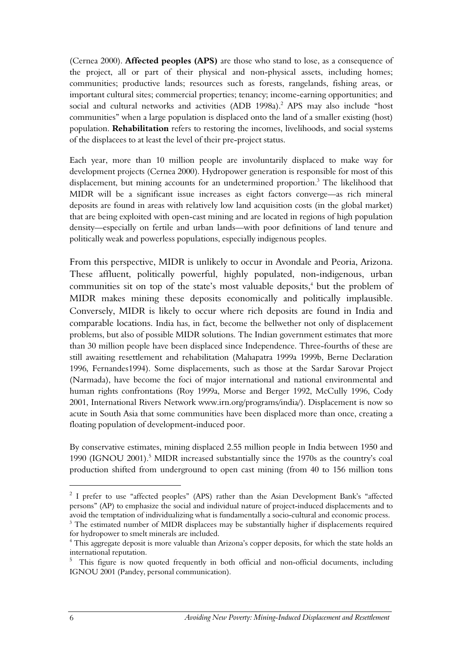(Cernea 2000). **Affected peoples (APS)** are those who stand to lose, as a consequence of the project, all or part of their physical and non-physical assets, including homes; communities; productive lands; resources such as forests, rangelands, fishing areas, or important cultural sites; commercial properties; tenancy; income-earning opportunities; and social and cultural networks and activities (ADB 1998a).<sup>2</sup> APS may also include "host communities" when a large population is displaced onto the land of a smaller existing (host) population. **Rehabilitation** refers to restoring the incomes, livelihoods, and social systems of the displacees to at least the level of their pre-project status.

Each year, more than 10 million people are involuntarily displaced to make way for development projects (Cernea 2000). Hydropower generation is responsible for most of this displacement, but mining accounts for an undetermined proportion.<sup>3</sup> The likelihood that MIDR will be a significant issue increases as eight factors converge—as rich mineral deposits are found in areas with relatively low land acquisition costs (in the global market) that are being exploited with open-cast mining and are located in regions of high population density—especially on fertile and urban lands—with poor definitions of land tenure and politically weak and powerless populations, especially indigenous peoples.

From this perspective, MIDR is unlikely to occur in Avondale and Peoria, Arizona. These affluent, politically powerful, highly populated, non-indigenous, urban communities sit on top of the state's most valuable deposits,<sup>4</sup> but the problem of MIDR makes mining these deposits economically and politically implausible. Conversely, MIDR is likely to occur where rich deposits are found in India and comparable locations. India has, in fact, become the bellwether not only of displacement problems, but also of possible MIDR solutions. The Indian government estimates that more than 30 million people have been displaced since Independence. Three-fourths of these are still awaiting resettlement and rehabilitation (Mahapatra 1999a 1999b, Berne Declaration 1996, Fernandes1994). Some displacements, such as those at the Sardar Sarovar Project (Narmada), have become the foci of major international and national environmental and human rights confrontations (Roy 1999a, Morse and Berger 1992, McCully 1996, Cody 2001, International Rivers Network www.irn.org/programs/india/). Displacement is now so acute in South Asia that some communities have been displaced more than once, creating a floating population of development-induced poor.

By conservative estimates, mining displaced 2.55 million people in India between 1950 and 1990 (IGNOU 2001).<sup>5</sup> MIDR increased substantially since the 1970s as the country's coal production shifted from underground to open cast mining (from 40 to 156 million tons

<sup>&</sup>lt;sup>2</sup> I prefer to use "affected peoples" (APS) rather than the Asian Development Bank's "affected persons" (AP) to emphasize the social and individual nature of project-induced displacements and to avoid the temptation of individualizing what is fundamentally a socio-cultural and economic process.

<sup>&</sup>lt;sup>3</sup> The estimated number of MIDR displacees may be substantially higher if displacements required for hydropower to smelt minerals are included. 4

This aggregate deposit is more valuable than Arizona's copper deposits, for which the state holds an international reputation.<br><sup>5</sup> This figure is now quoted frequently in both official and non-official documents, including

IGNOU 2001 (Pandey, personal communication).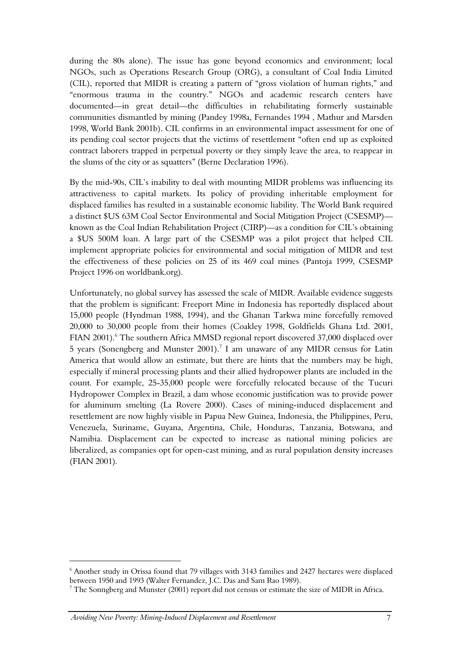during the 80s alone). The issue has gone beyond economics and environment; local NGOs, such as Operations Research Group (ORG), a consultant of Coal India Limited (CIL), reported that MIDR is creating a pattern of "gross violation of human rights," and "enormous trauma in the country." NGOs and academic research centers have documented—in great detail—the difficulties in rehabilitating formerly sustainable communities dismantled by mining (Pandey 1998a, Fernandes 1994 , Mathur and Marsden 1998, World Bank 2001b). CIL confirms in an environmental impact assessment for one of its pending coal sector projects that the victims of resettlement "often end up as exploited contract laborers trapped in perpetual poverty or they simply leave the area, to reappear in the slums of the city or as squatters" (Berne Declaration 1996).

By the mid-90s, CIL's inability to deal with mounting MIDR problems was influencing its attractiveness to capital markets. Its policy of providing inheritable employment for displaced families has resulted in a sustainable economic liability. The World Bank required a distinct \$US 63M Coal Sector Environmental and Social Mitigation Project (CSESMP) known as the Coal Indian Rehabilitation Project (CIRP)—as a condition for CIL's obtaining a \$US 500M loan. A large part of the CSESMP was a pilot project that helped CIL implement appropriate policies for environmental and social mitigation of MIDR and test the effectiveness of these policies on 25 of its 469 coal mines (Pantoja 1999, CSESMP Project 1996 on worldbank.org).

Unfortunately, no global survey has assessed the scale of MIDR. Available evidence suggests that the problem is significant: Freeport Mine in Indonesia has reportedly displaced about 15,000 people (Hyndman 1988, 1994), and the Ghanan Tarkwa mine forcefully removed 20,000 to 30,000 people from their homes (Coakley 1998, Goldfields Ghana Ltd. 2001, FIAN 2001).<sup>6</sup> The southern Africa MMSD regional report discovered 37,000 displaced over 5 years (Sonengberg and Munster 2001).<sup>7</sup> I am unaware of any MIDR census for Latin America that would allow an estimate, but there are hints that the numbers may be high, especially if mineral processing plants and their allied hydropower plants are included in the count. For example, 25-35,000 people were forcefully relocated because of the Tucuri Hydropower Complex in Brazil, a dam whose economic justification was to provide power for aluminum smelting (La Rovere 2000). Cases of mining-induced displacement and resettlement are now highly visible in Papua New Guinea, Indonesia, the Philippines, Peru, Venezuela, Suriname, Guyana, Argentina, Chile, Honduras, Tanzania, Botswana, and Namibia. Displacement can be expected to increase as national mining policies are liberalized, as companies opt for open-cast mining, and as rural population density increases (FIAN 2001)*.* 

<sup>&</sup>lt;sup>6</sup> Another study in Orissa found that 79 villages with 3143 families and 2427 hectares were displaced between 1950 and 1993 (Walter Fernandez, J.C. Das and Sam Rao 1989).

 $^7$  The Sonngberg and Munster (2001) report did not census or estimate the size of MIDR in Africa.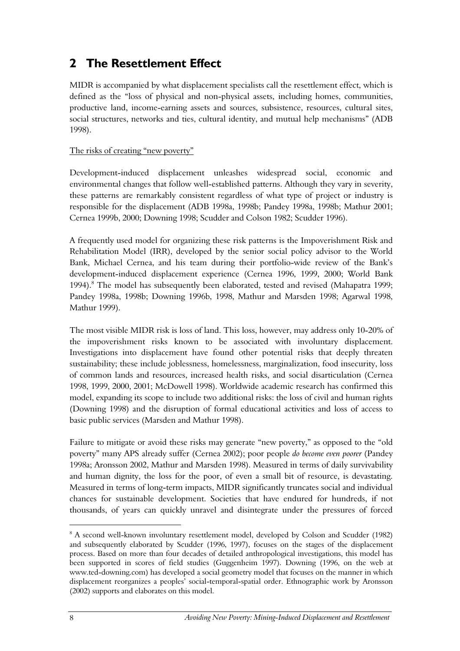# <span id="page-7-0"></span>**2 The Resettlement Effect**

MIDR is accompanied by what displacement specialists call the resettlement effect, which is defined as the "loss of physical and non-physical assets, including homes, communities, productive land, income-earning assets and sources, subsistence, resources, cultural sites, social structures, networks and ties, cultural identity, and mutual help mechanisms" (ADB 1998).

### The risks of creating "new poverty"

Development-induced displacement unleashes widespread social, economic and environmental changes that follow well-established patterns. Although they vary in severity, these patterns are remarkably consistent regardless of what type of project or industry is responsible for the displacement (ADB 1998a, 1998b; Pandey 1998a, 1998b; Mathur 2001; Cernea 1999b, 2000; Downing 1998; Scudder and Colson 1982; Scudder 1996).

A frequently used model for organizing these risk patterns is the Impoverishment Risk and Rehabilitation Model (IRR), developed by the senior social policy advisor to the World Bank, Michael Cernea, and his team during their portfolio-wide review of the Bank's development-induced displacement experience (Cernea 1996, 1999, 2000; World Bank 1994).<sup>8</sup> The model has subsequently been elaborated, tested and revised (Mahapatra 1999; Pandey 1998a, 1998b; Downing 1996b, 1998, Mathur and Marsden 1998; Agarwal 1998, Mathur 1999).

The most visible MIDR risk is loss of land. This loss, however, may address only 10-20% of the impoverishment risks known to be associated with involuntary displacement. Investigations into displacement have found other potential risks that deeply threaten sustainability; these include joblessness, homelessness, marginalization, food insecurity, loss of common lands and resources, increased health risks, and social disarticulation (Cernea 1998, 1999, 2000, 2001; McDowell 1998). Worldwide academic research has confirmed this model, expanding its scope to include two additional risks: the loss of civil and human rights (Downing 1998) and the disruption of formal educational activities and loss of access to basic public services (Marsden and Mathur 1998).

Failure to mitigate or avoid these risks may generate "new poverty," as opposed to the "old poverty" many APS already suffer (Cernea 2002); poor people *do become even poorer* (Pandey 1998a; Aronsson 2002, Mathur and Marsden 1998). Measured in terms of daily survivability and human dignity, the loss for the poor, of even a small bit of resource, is devastating. Measured in terms of long-term impacts, MIDR significantly truncates social and individual chances for sustainable development. Societies that have endured for hundreds, if not thousands, of years can quickly unravel and disintegrate under the pressures of forced

<sup>&</sup>lt;sup>8</sup> A second well-known involuntary resettlement model, developed by Colson and Scudder (1982) and subsequently elaborated by Scudder (1996, 1997), focuses on the stages of the displacement process. Based on more than four decades of detailed anthropological investigations, this model has been supported in scores of field studies (Guggenheim 1997). Downing (1996, on the web at www.ted-downing.com) has developed a social geometry model that focuses on the manner in which displacement reorganizes a peoples' social-temporal-spatial order. Ethnographic work by Aronsson (2002) supports and elaborates on this model.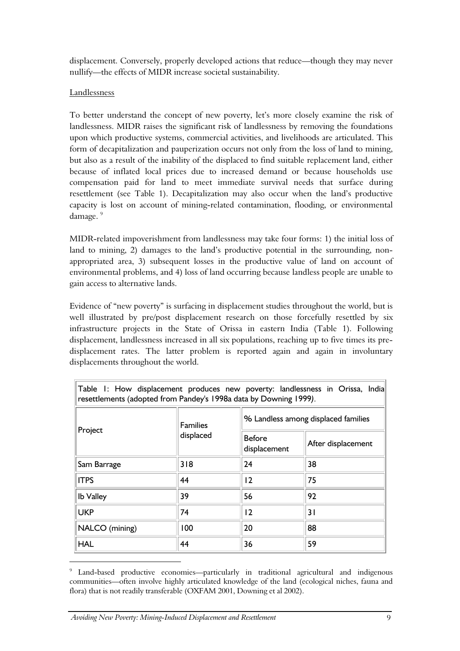displacement. Conversely, properly developed actions that reduce—though they may never nullify—the effects of MIDR increase societal sustainability.

### Landlessness

To better understand the concept of new poverty, let's more closely examine the risk of landlessness. MIDR raises the significant risk of landlessness by removing the foundations upon which productive systems, commercial activities, and livelihoods are articulated. This form of decapitalization and pauperization occurs not only from the loss of land to mining, but also as a result of the inability of the displaced to find suitable replacement land, either because of inflated local prices due to increased demand or because households use compensation paid for land to meet immediate survival needs that surface during resettlement (see Table 1). Decapitalization may also occur when the land's productive capacity is lost on account of mining-related contamination, flooding, or environmental damage.<sup>9</sup>

MIDR-related impoverishment from landlessness may take four forms: 1) the initial loss of land to mining, 2) damages to the land's productive potential in the surrounding, nonappropriated area, 3) subsequent losses in the productive value of land on account of environmental problems, and 4) loss of land occurring because landless people are unable to gain access to alternative lands.

Evidence of "new poverty" is surfacing in displacement studies throughout the world, but is well illustrated by pre/post displacement research on those forcefully resettled by six infrastructure projects in the State of Orissa in eastern India (Table 1). Following displacement, landlessness increased in all six populations, reaching up to five times its predisplacement rates. The latter problem is reported again and again in involuntary displacements throughout the world.

| Table 1: How displacement produces new poverty: landlessness in Orissa, India<br>resettlements (adopted from Pandey's 1998a data by Downing 1999). |                              |                                     |                    |  |  |
|----------------------------------------------------------------------------------------------------------------------------------------------------|------------------------------|-------------------------------------|--------------------|--|--|
|                                                                                                                                                    | <b>Families</b><br>displaced | % Landless among displaced families |                    |  |  |
| Project                                                                                                                                            |                              | <b>Before</b><br>displacement       | After displacement |  |  |
| Sam Barrage                                                                                                                                        | 318                          | 24                                  | 38                 |  |  |
| <b>ITPS</b>                                                                                                                                        | 44                           | $\overline{2}$                      | 75                 |  |  |
| <b>Ib Valley</b>                                                                                                                                   | 39                           | 56                                  | 92                 |  |  |
| <b>UKP</b>                                                                                                                                         | 74                           | 12                                  | 31                 |  |  |
| NALCO (mining)                                                                                                                                     | 100                          | 20                                  | 88                 |  |  |
| <b>HAL</b>                                                                                                                                         | 44                           | 36                                  | 59                 |  |  |

<sup>&</sup>lt;sup>9</sup> Land-based productive economies—particularly in traditional agricultural and indigenous communities—often involve highly articulated knowledge of the land (ecological niches, fauna and flora) that is not readily transferable (OXFAM 2001, Downing et al 2002).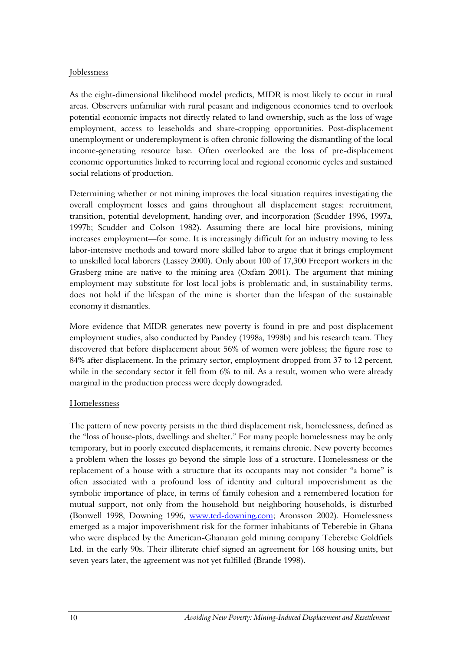#### Joblessness

As the eight-dimensional likelihood model predicts, MIDR is most likely to occur in rural areas. Observers unfamiliar with rural peasant and indigenous economies tend to overlook potential economic impacts not directly related to land ownership, such as the loss of wage employment, access to leaseholds and share-cropping opportunities. Post-displacement unemployment or underemployment is often chronic following the dismantling of the local income-generating resource base. Often overlooked are the loss of pre-displacement economic opportunities linked to recurring local and regional economic cycles and sustained social relations of production.

Determining whether or not mining improves the local situation requires investigating the overall employment losses and gains throughout all displacement stages: recruitment, transition, potential development, handing over, and incorporation (Scudder 1996, 1997a, 1997b; Scudder and Colson 1982). Assuming there are local hire provisions, mining increases employment—for some. It is increasingly difficult for an industry moving to less labor-intensive methods and toward more skilled labor to argue that it brings employment to unskilled local laborers (Lassey 2000). Only about 100 of 17,300 Freeport workers in the Grasberg mine are native to the mining area (Oxfam 2001). The argument that mining employment may substitute for lost local jobs is problematic and, in sustainability terms, does not hold if the lifespan of the mine is shorter than the lifespan of the sustainable economy it dismantles.

More evidence that MIDR generates new poverty is found in pre and post displacement employment studies, also conducted by Pandey (1998a, 1998b) and his research team. They discovered that before displacement about 56% of women were jobless; the figure rose to 84% after displacement. In the primary sector, employment dropped from 37 to 12 percent, while in the secondary sector it fell from 6% to nil. As a result, women who were already marginal in the production process were deeply downgraded*.* 

#### Homelessness

The pattern of new poverty persists in the third displacement risk, homelessness, defined as the "loss of house-plots, dwellings and shelter." For many people homelessness may be only temporary, but in poorly executed displacements, it remains chronic. New poverty becomes a problem when the losses go beyond the simple loss of a structure. Homelessness or the replacement of a house with a structure that its occupants may not consider "a home" is often associated with a profound loss of identity and cultural impoverishment as the symbolic importance of place, in terms of family cohesion and a remembered location for mutual support, not only from the household but neighboring households, is disturbed (Bonwell 1998, Downing 1996, [www.ted-downing.com;](http://www.ted-downing.com/) Aronsson 2002). Homelessness emerged as a major impoverishment risk for the former inhabitants of Teberebie in Ghana who were displaced by the American-Ghanaian gold mining company Teberebie Goldfiels Ltd. in the early 90s. Their illiterate chief signed an agreement for 168 housing units, but seven years later, the agreement was not yet fulfilled (Brande 1998).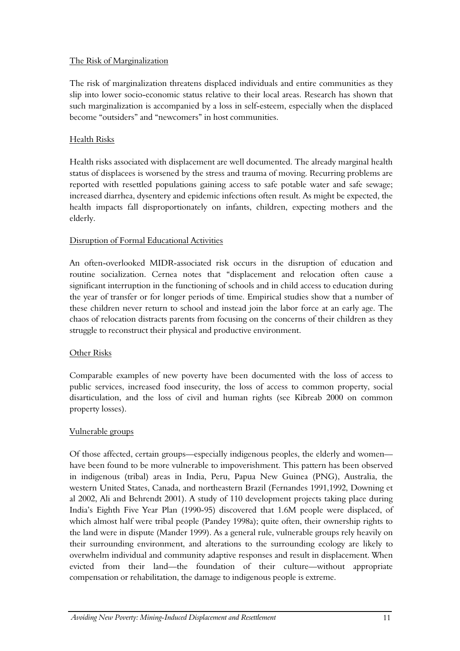### The Risk of Marginalization

The risk of marginalization threatens displaced individuals and entire communities as they slip into lower socio-economic status relative to their local areas. Research has shown that such marginalization is accompanied by a loss in self-esteem, especially when the displaced become "outsiders" and "newcomers" in host communities.

### Health Risks

Health risks associated with displacement are well documented. The already marginal health status of displacees is worsened by the stress and trauma of moving. Recurring problems are reported with resettled populations gaining access to safe potable water and safe sewage; increased diarrhea, dysentery and epidemic infections often result. As might be expected, the health impacts fall disproportionately on infants, children, expecting mothers and the elderly.

### Disruption of Formal Educational Activities

An often-overlooked MIDR-associated risk occurs in the disruption of education and routine socialization. Cernea notes that "displacement and relocation often cause a significant interruption in the functioning of schools and in child access to education during the year of transfer or for longer periods of time. Empirical studies show that a number of these children never return to school and instead join the labor force at an early age. The chaos of relocation distracts parents from focusing on the concerns of their children as they struggle to reconstruct their physical and productive environment.

#### Other Risks

Comparable examples of new poverty have been documented with the loss of access to public services, increased food insecurity, the loss of access to common property, social disarticulation, and the loss of civil and human rights (see Kibreab 2000 on common property losses).

#### Vulnerable groups

Of those affected, certain groups—especially indigenous peoples, the elderly and women have been found to be more vulnerable to impoverishment. This pattern has been observed in indigenous (tribal) areas in India, Peru, Papua New Guinea (PNG), Australia, the western United States, Canada, and northeastern Brazil (Fernandes 1991,1992, Downing et al 2002, Ali and Behrendt 2001). A study of 110 development projects taking place during India's Eighth Five Year Plan (1990-95) discovered that 1.6M people were displaced, of which almost half were tribal people (Pandey 1998a); quite often, their ownership rights to the land were in dispute (Mander 1999). As a general rule, vulnerable groups rely heavily on their surrounding environment, and alterations to the surrounding ecology are likely to overwhelm individual and community adaptive responses and result in displacement. When evicted from their land—the foundation of their culture—without appropriate compensation or rehabilitation, the damage to indigenous people is extreme.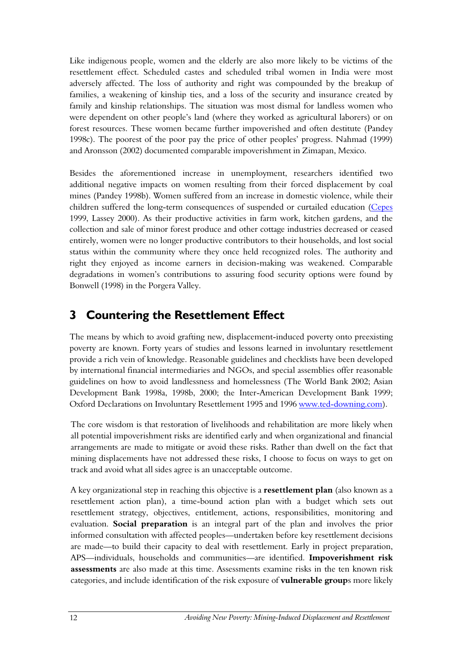Like indigenous people, women and the elderly are also more likely to be victims of the resettlement effect. Scheduled castes and scheduled tribal women in India were most adversely affected. The loss of authority and right was compounded by the breakup of families, a weakening of kinship ties, and a loss of the security and insurance created by family and kinship relationships. The situation was most dismal for landless women who were dependent on other people's land (where they worked as agricultural laborers) or on forest resources. These women became further impoverished and often destitute (Pandey 1998c). The poorest of the poor pay the price of other peoples' progress. Nahmad (1999) and Aronsson (2002) documented comparable impoverishment in Zimapan, Mexico.

Besides the aforementioned increase in unemployment, researchers identified two additional negative impacts on women resulting from their forced displacement by coal mines (Pandey 1998b). Women suffered from an increase in domestic violence, while their children suffered the long-term consequences of suspended or curtailed education [\(Cepes](http://www.cepes.org.pe/coalition/Paises/Peru/Cas_Per/Articulo/MinyComu/ArtRonda.htm) 1999, Lassey 2000). As their productive activities in farm work, kitchen gardens, and the collection and sale of minor forest produce and other cottage industries decreased or ceased entirely, women were no longer productive contributors to their households, and lost social status within the community where they once held recognized roles. The authority and right they enjoyed as income earners in decision-making was weakened. Comparable degradations in women's contributions to assuring food security options were found by Bonwell (1998) in the Porgera Valley.

# <span id="page-11-0"></span>**3 Countering the Resettlement Effect**

The means by which to avoid grafting new, displacement-induced poverty onto preexisting poverty are known. Forty years of studies and lessons learned in involuntary resettlement provide a rich vein of knowledge. Reasonable guidelines and checklists have been developed by international financial intermediaries and NGOs, and special assemblies offer reasonable guidelines on how to avoid landlessness and homelessness (The World Bank 2002; Asian Development Bank 1998a, 1998b, 2000; the Inter-American Development Bank 1999; Oxford Declarations on Involuntary Resettlement 1995 and 1996 [www.ted-downing.com\)](http://www.ted-downing.com/).

The core wisdom is that restoration of livelihoods and rehabilitation are more likely when all potential impoverishment risks are identified early and when organizational and financial arrangements are made to mitigate or avoid these risks. Rather than dwell on the fact that mining displacements have not addressed these risks, I choose to focus on ways to get on track and avoid what all sides agree is an unacceptable outcome.

A key organizational step in reaching this objective is a **resettlement plan** (also known as a resettlement action plan), a time-bound action plan with a budget which sets out resettlement strategy, objectives, entitlement, actions, responsibilities, monitoring and evaluation. **Social preparation** is an integral part of the plan and involves the prior informed consultation with affected peoples—undertaken before key resettlement decisions are made—to build their capacity to deal with resettlement. Early in project preparation, APS—individuals, households and communities—are identified. **Impoverishment risk assessments** are also made at this time. Assessments examine risks in the ten known risk categories, and include identification of the risk exposure of **vulnerable group**s more likely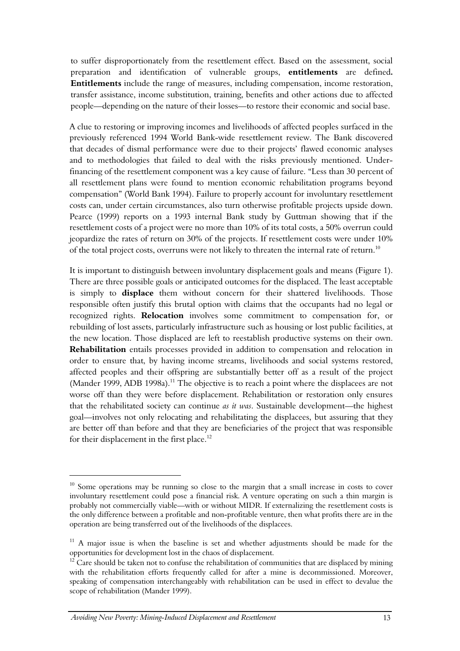to suffer disproportionately from the resettlement effect. Based on the assessment, social preparation and identification of vulnerable groups, **entitlements** are defined**. Entitlements** include the range of measures, including compensation, income restoration, transfer assistance, income substitution, training, benefits and other actions due to affected people—depending on the nature of their losses—to restore their economic and social base.

A clue to restoring or improving incomes and livelihoods of affected peoples surfaced in the previously referenced 1994 World Bank-wide resettlement review. The Bank discovered that decades of dismal performance were due to their projects' flawed economic analyses and to methodologies that failed to deal with the risks previously mentioned. Underfinancing of the resettlement component was a key cause of failure. "Less than 30 percent of all resettlement plans were found to mention economic rehabilitation programs beyond compensation" (World Bank 1994). Failure to properly account for involuntary resettlement costs can, under certain circumstances, also turn otherwise profitable projects upside down. Pearce (1999) reports on a 1993 internal Bank study by Guttman showing that if the resettlement costs of a project were no more than 10% of its total costs, a 50% overrun could jeopardize the rates of return on 30% of the projects. If resettlement costs were under 10% of the total project costs, overruns were not likely to threaten the internal rate of return.<sup>10</sup>

It is important to distinguish between involuntary displacement goals and means (Figure 1). There are three possible goals or anticipated outcomes for the displaced. The least acceptable is simply to **displace** them without concern for their shattered livelihoods. Those responsible often justify this brutal option with claims that the occupants had no legal or recognized rights. **Relocation** involves some commitment to compensation for, or rebuilding of lost assets, particularly infrastructure such as housing or lost public facilities, at the new location. Those displaced are left to reestablish productive systems on their own. **Rehabilitation** entails processes provided in addition to compensation and relocation in order to ensure that, by having income streams, livelihoods and social systems restored, affected peoples and their offspring are substantially better off as a result of the project (Mander 1999, ADB 1998a).<sup>11</sup> The objective is to reach a point where the displacees are not worse off than they were before displacement. Rehabilitation or restoration only ensures that the rehabilitated society can continue *as it was*. Sustainable development—the highest goal—involves not only relocating and rehabilitating the displacees, but assuring that they are better off than before and that they are beneficiaries of the project that was responsible for their displacement in the first place.<sup>12</sup>

 $\ddot{\phantom{a}}$ 

 $10$  Some operations may be running so close to the margin that a small increase in costs to cover involuntary resettlement could pose a financial risk. A venture operating on such a thin margin is probably not commercially viable—with or without MIDR. If externalizing the resettlement costs is the only difference between a profitable and non-profitable venture, then what profits there are in the operation are being transferred out of the livelihoods of the displacees.

 $11$  A major issue is when the baseline is set and whether adjustments should be made for the opportunities for development lost in the chaos of displacement. 12 Care should be taken not to confuse the rehabilitation of communities that are displaced by mining

with the rehabilitation efforts frequently called for after a mine is decommissioned. Moreover, speaking of compensation interchangeably with rehabilitation can be used in effect to devalue the scope of rehabilitation (Mander 1999).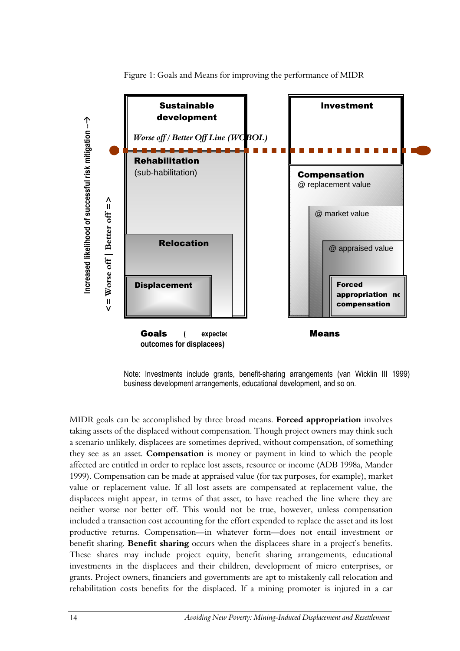

Figure 1: Goals and Means for improving the performance of MIDR

Note: Investments include grants, benefit-sharing arrangements (van Wicklin III 1999) business development arrangements, educational development, and so on.

MIDR goals can be accomplished by three broad means. **Forced appropriation** involves taking assets of the displaced without compensation. Though project owners may think such a scenario unlikely, displacees are sometimes deprived, without compensation, of something they see as an asset. **Compensation** is money or payment in kind to which the people affected are entitled in order to replace lost assets, resource or income (ADB 1998a, Mander 1999). Compensation can be made at appraised value (for tax purposes, for example), market value or replacement value. If all lost assets are compensated at replacement value, the displacees might appear, in terms of that asset, to have reached the line where they are neither worse nor better off. This would not be true, however, unless compensation included a transaction cost accounting for the effort expended to replace the asset and its lost productive returns. Compensation—in whatever form—does not entail investment or benefit sharing. **Benefit sharing** occurs when the displacees share in a project's benefits. These shares may include project equity, benefit sharing arrangements, educational investments in the displacees and their children, development of micro enterprises, or grants. Project owners, financiers and governments are apt to mistakenly call relocation and rehabilitation costs benefits for the displaced. If a mining promoter is injured in a car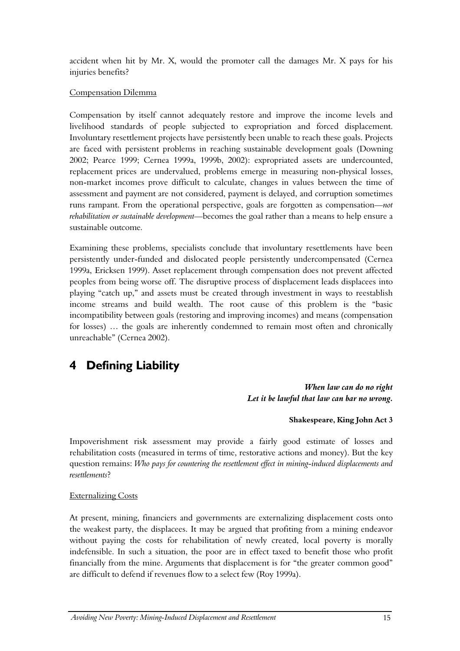accident when hit by Mr. X, would the promoter call the damages Mr. X pays for his injuries benefits?

### Compensation Dilemma

Compensation by itself cannot adequately restore and improve the income levels and livelihood standards of people subjected to expropriation and forced displacement. Involuntary resettlement projects have persistently been unable to reach these goals. Projects are faced with persistent problems in reaching sustainable development goals (Downing 2002; Pearce 1999; Cernea 1999a, 1999b, 2002): expropriated assets are undercounted, replacement prices are undervalued, problems emerge in measuring non-physical losses, non-market incomes prove difficult to calculate, changes in values between the time of assessment and payment are not considered, payment is delayed, and corruption sometimes runs rampant. From the operational perspective, goals are forgotten as compensation*—not rehabilitation or sustainable development—*becomes the goal rather than a means to help ensure a sustainable outcome*.*

Examining these problems, specialists conclude that involuntary resettlements have been persistently under-funded and dislocated people persistently undercompensated (Cernea 1999a, Ericksen 1999). Asset replacement through compensation does not prevent affected peoples from being worse off. The disruptive process of displacement leads displacees into playing "catch up," and assets must be created through investment in ways to reestablish income streams and build wealth. The root cause of this problem is the "basic incompatibility between goals (restoring and improving incomes) and means (compensation for losses) … the goals are inherently condemned to remain most often and chronically unreachable" (Cernea 2002).

# <span id="page-14-0"></span>**4 Defining Liability**

*When law can do no right Let it be lawful that law can bar no wrong.* 

### **Shakespeare, King John Act 3**

Impoverishment risk assessment may provide a fairly good estimate of losses and rehabilitation costs (measured in terms of time, restorative actions and money). But the key question remains: *Who pays for countering the resettlement effect in mining-induced displacements and resettlements*?

### Externalizing Costs

At present, mining, financiers and governments are externalizing displacement costs onto the weakest party, the displacees. It may be argued that profiting from a mining endeavor without paying the costs for rehabilitation of newly created, local poverty is morally indefensible. In such a situation, the poor are in effect taxed to benefit those who profit financially from the mine. Arguments that displacement is for "the greater common good" are difficult to defend if revenues flow to a select few (Roy 1999a).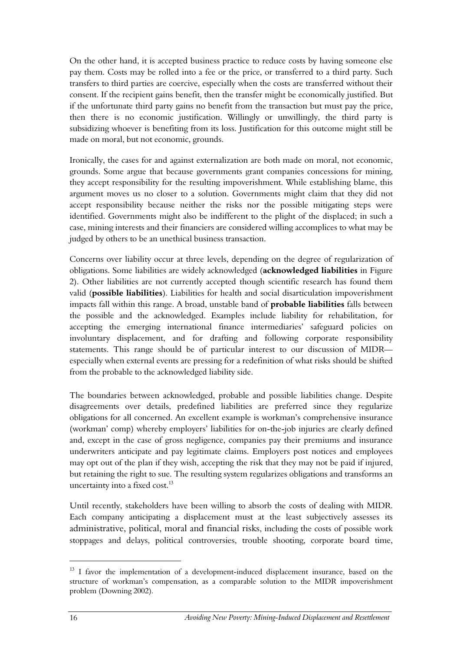On the other hand, it is accepted business practice to reduce costs by having someone else pay them. Costs may be rolled into a fee or the price, or transferred to a third party. Such transfers to third parties are coercive, especially when the costs are transferred without their consent. If the recipient gains benefit, then the transfer might be economically justified. But if the unfortunate third party gains no benefit from the transaction but must pay the price, then there is no economic justification. Willingly or unwillingly, the third party is subsidizing whoever is benefiting from its loss. Justification for this outcome might still be made on moral, but not economic, grounds.

Ironically, the cases for and against externalization are both made on moral, not economic, grounds. Some argue that because governments grant companies concessions for mining, they accept responsibility for the resulting impoverishment. While establishing blame, this argument moves us no closer to a solution. Governments might claim that they did not accept responsibility because neither the risks nor the possible mitigating steps were identified. Governments might also be indifferent to the plight of the displaced; in such a case, mining interests and their financiers are considered willing accomplices to what may be judged by others to be an unethical business transaction.

Concerns over liability occur at three levels, depending on the degree of regularization of obligations. Some liabilities are widely acknowledged (**acknowledged liabilities** in Figure 2). Other liabilities are not currently accepted though scientific research has found them valid (**possible liabilities**). Liabilities for health and social disarticulation impoverishment impacts fall within this range. A broad, unstable band of **probable liabilities** falls between the possible and the acknowledged. Examples include liability for rehabilitation, for accepting the emerging international finance intermediaries' safeguard policies on involuntary displacement, and for drafting and following corporate responsibility statements. This range should be of particular interest to our discussion of MIDR especially when external events are pressing for a redefinition of what risks should be shifted from the probable to the acknowledged liability side.

The boundaries between acknowledged, probable and possible liabilities change. Despite disagreements over details, predefined liabilities are preferred since they regularize obligations for all concerned. An excellent example is workman's comprehensive insurance (workman' comp) whereby employers' liabilities for on-the-job injuries are clearly defined and, except in the case of gross negligence, companies pay their premiums and insurance underwriters anticipate and pay legitimate claims. Employers post notices and employees may opt out of the plan if they wish, accepting the risk that they may not be paid if injured, but retaining the right to sue. The resulting system regularizes obligations and transforms an uncertainty into a fixed cost.<sup>13</sup>

Until recently, stakeholders have been willing to absorb the costs of dealing with MIDR. Each company anticipating a displacement must at the least subjectively assesses its administrative, political, moral and financial risks, including the costs of possible work stoppages and delays, political controversies, trouble shooting, corporate board time,

<sup>&</sup>lt;sup>13</sup> I favor the implementation of a development-induced displacement insurance, based on the structure of workman's compensation, as a comparable solution to the MIDR impoverishment problem (Downing 2002).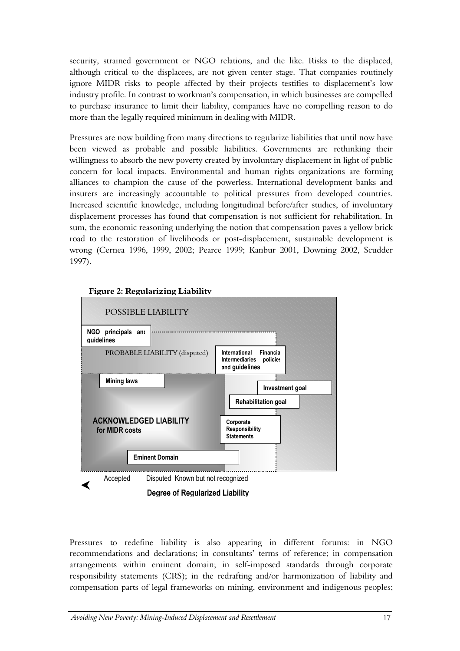security, strained government or NGO relations, and the like. Risks to the displaced, although critical to the displacees, are not given center stage. That companies routinely ignore MIDR risks to people affected by their projects testifies to displacement's low industry profile. In contrast to workman's compensation, in which businesses are compelled to purchase insurance to limit their liability, companies have no compelling reason to do more than the legally required minimum in dealing with MIDR.

Pressures are now building from many directions to regularize liabilities that until now have been viewed as probable and possible liabilities. Governments are rethinking their willingness to absorb the new poverty created by involuntary displacement in light of public concern for local impacts. Environmental and human rights organizations are forming alliances to champion the cause of the powerless. International development banks and insurers are increasingly accountable to political pressures from developed countries. Increased scientific knowledge, including longitudinal before/after studies, of involuntary displacement processes has found that compensation is not sufficient for rehabilitation. In sum, the economic reasoning underlying the notion that compensation paves a yellow brick road to the restoration of livelihoods or post-displacement, sustainable development is wrong (Cernea 1996, 1999, 2002; Pearce 1999; Kanbur 2001, Downing 2002, Scudder 1997).



Pressures to redefine liability is also appearing in different forums: in NGO recommendations and declarations; in consultants' terms of reference; in compensation arrangements within eminent domain; in self-imposed standards through corporate responsibility statements (CRS); in the redrafting and/or harmonization of liability and compensation parts of legal frameworks on mining, environment and indigenous peoples;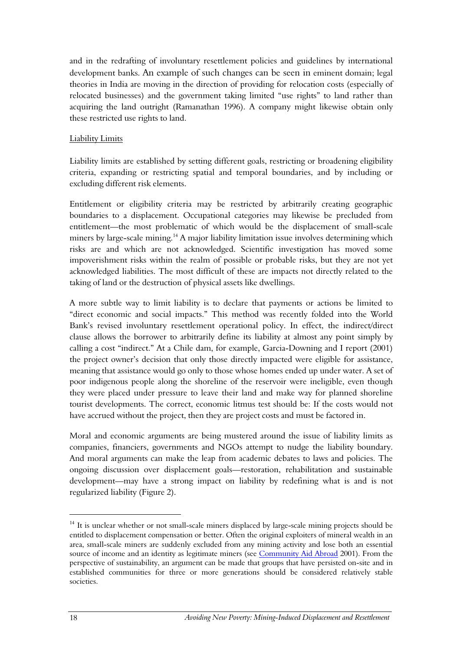and in the redrafting of involuntary resettlement policies and guidelines by international development banks. An example of such changes can be seen in eminent domain; legal theories in India are moving in the direction of providing for relocation costs (especially of relocated businesses) and the government taking limited "use rights" to land rather than acquiring the land outright (Ramanathan 1996). A company might likewise obtain only these restricted use rights to land.

### Liability Limits

Liability limits are established by setting different goals, restricting or broadening eligibility criteria, expanding or restricting spatial and temporal boundaries, and by including or excluding different risk elements.

Entitlement or eligibility criteria may be restricted by arbitrarily creating geographic boundaries to a displacement. Occupational categories may likewise be precluded from entitlement—the most problematic of which would be the displacement of small-scale miners by large-scale mining.<sup>14</sup> A major liability limitation issue involves determining which risks are and which are not acknowledged. Scientific investigation has moved some impoverishment risks within the realm of possible or probable risks, but they are not yet acknowledged liabilities. The most difficult of these are impacts not directly related to the taking of land or the destruction of physical assets like dwellings.

A more subtle way to limit liability is to declare that payments or actions be limited to "direct economic and social impacts." This method was recently folded into the World Bank's revised involuntary resettlement operational policy. In effect, the indirect/direct clause allows the borrower to arbitrarily define its liability at almost any point simply by calling a cost "indirect." At a Chile dam, for example, Garcia-Downing and I report (2001) the project owner's decision that only those directly impacted were eligible for assistance, meaning that assistance would go only to those whose homes ended up under water. A set of poor indigenous people along the shoreline of the reservoir were ineligible, even though they were placed under pressure to leave their land and make way for planned shoreline tourist developments. The correct, economic litmus test should be: If the costs would not have accrued without the project, then they are project costs and must be factored in.

Moral and economic arguments are being mustered around the issue of liability limits as companies, financiers, governments and NGOs attempt to nudge the liability boundary. And moral arguments can make the leap from academic debates to laws and policies. The ongoing discussion over displacement goals—restoration, rehabilitation and sustainable development—may have a strong impact on liability by redefining what is and is not regularized liability (Figure 2).

 $14$  It is unclear whether or not small-scale miners displaced by large-scale mining projects should be entitled to displacement compensation or better. Often the original exploiters of mineral wealth in an area, small-scale miners are suddenly excluded from any mining activity and lose both an essential source of income and an identity as legitimate miners (see Community Aid Abroad 2001). From the perspective of sustainability, an argument can be made that groups that have persisted on-site and in established communities for three or more generations should be considered relatively stable societies.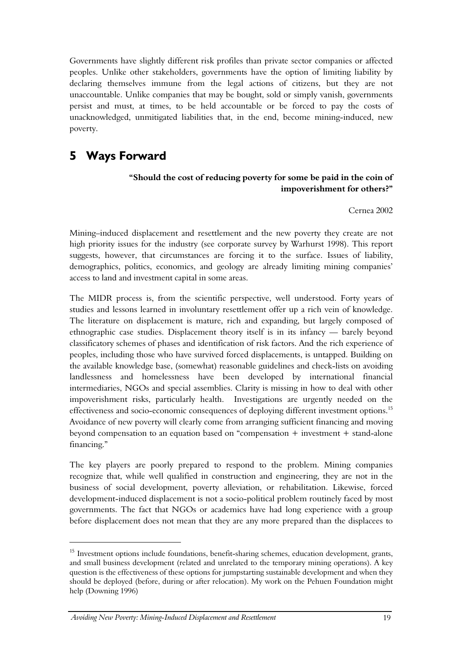Governments have slightly different risk profiles than private sector companies or affected peoples. Unlike other stakeholders, governments have the option of limiting liability by declaring themselves immune from the legal actions of citizens, but they are not unaccountable. Unlike companies that may be bought, sold or simply vanish, governments persist and must, at times, to be held accountable or be forced to pay the costs of unacknowledged, unmitigated liabilities that, in the end, become mining-induced, new poverty.

### <span id="page-18-0"></span>**5 Ways Forward**

### **"Should the cost of reducing poverty for some be paid in the coin of impoverishment for others?"**

Cernea 2002

Mining–induced displacement and resettlement and the new poverty they create are not high priority issues for the industry (see corporate survey by Warhurst 1998). This report suggests, however, that circumstances are forcing it to the surface. Issues of liability, demographics, politics, economics, and geology are already limiting mining companies' access to land and investment capital in some areas.

The MIDR process is, from the scientific perspective, well understood. Forty years of studies and lessons learned in involuntary resettlement offer up a rich vein of knowledge. The literature on displacement is mature, rich and expanding, but largely composed of ethnographic case studies. Displacement theory itself is in its infancy — barely beyond classificatory schemes of phases and identification of risk factors. And the rich experience of peoples, including those who have survived forced displacements, is untapped. Building on the available knowledge base, (somewhat) reasonable guidelines and check-lists on avoiding landlessness and homelessness have been developed by international financial intermediaries, NGOs and special assemblies. Clarity is missing in how to deal with other impoverishment risks, particularly health. Investigations are urgently needed on the effectiveness and socio-economic consequences of deploying different investment options.<sup>15</sup> Avoidance of new poverty will clearly come from arranging sufficient financing and moving beyond compensation to an equation based on "compensation + investment + stand-alone financing."

The key players are poorly prepared to respond to the problem. Mining companies recognize that, while well qualified in construction and engineering, they are not in the business of social development, poverty alleviation, or rehabilitation. Likewise, forced development-induced displacement is not a socio-political problem routinely faced by most governments. The fact that NGOs or academics have had long experience with a group before displacement does not mean that they are any more prepared than the displacees to

<sup>&</sup>lt;sup>15</sup> Investment options include foundations, benefit-sharing schemes, education development, grants, and small business development (related and unrelated to the temporary mining operations). A key question is the effectiveness of these options for jumpstarting sustainable development and when they should be deployed (before, during or after relocation). My work on the Pehuen Foundation might help (Downing 1996)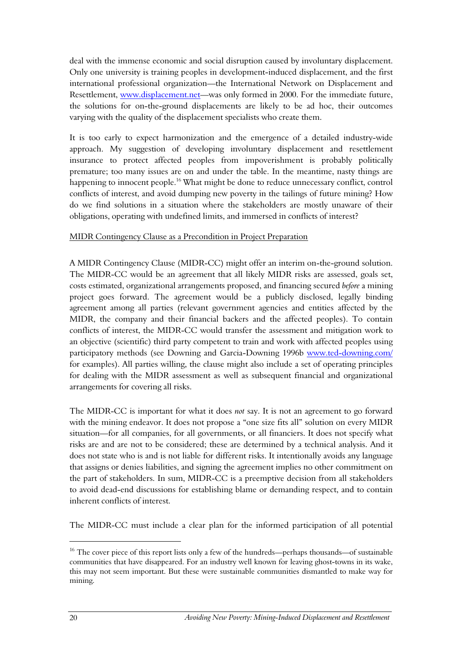deal with the immense economic and social disruption caused by involuntary displacement. Only one university is training peoples in development-induced displacement, and the first international professional organization—the International Network on Displacement and Resettlement, [www.displacement.net—](http://www.displacement.net/)was only formed in 2000. For the immediate future, the solutions for on-the-ground displacements are likely to be ad hoc, their outcomes varying with the quality of the displacement specialists who create them.

It is too early to expect harmonization and the emergence of a detailed industry-wide approach. My suggestion of developing involuntary displacement and resettlement insurance to protect affected peoples from impoverishment is probably politically premature; too many issues are on and under the table. In the meantime, nasty things are happening to innocent people.<sup>16</sup> What might be done to reduce unnecessary conflict, control conflicts of interest, and avoid dumping new poverty in the tailings of future mining? How do we find solutions in a situation where the stakeholders are mostly unaware of their obligations, operating with undefined limits, and immersed in conflicts of interest?

#### MIDR Contingency Clause as a Precondition in Project Preparation

A MIDR Contingency Clause (MIDR-CC) might offer an interim on-the-ground solution. The MIDR-CC would be an agreement that all likely MIDR risks are assessed, goals set, costs estimated, organizational arrangements proposed, and financing secured *before* a mining project goes forward. The agreement would be a publicly disclosed, legally binding agreement among all parties (relevant government agencies and entities affected by the MIDR, the company and their financial backers and the affected peoples). To contain conflicts of interest, the MIDR-CC would transfer the assessment and mitigation work to an objective (scientific) third party competent to train and work with affected peoples using participatory methods (see Downing and Garcia-Downing 1996b [www.ted-downing.com/](http://www.ted-downing.com/) for examples). All parties willing, the clause might also include a set of operating principles for dealing with the MIDR assessment as well as subsequent financial and organizational arrangements for covering all risks.

The MIDR-CC is important for what it does *not* say. It is not an agreement to go forward with the mining endeavor. It does not propose a "one size fits all" solution on every MIDR situation—for all companies, for all governments, or all financiers. It does not specify what risks are and are not to be considered; these are determined by a technical analysis. And it does not state who is and is not liable for different risks. It intentionally avoids any language that assigns or denies liabilities, and signing the agreement implies no other commitment on the part of stakeholders. In sum, MIDR-CC is a preemptive decision from all stakeholders to avoid dead-end discussions for establishing blame or demanding respect, and to contain inherent conflicts of interest.

The MIDR-CC must include a clear plan for the informed participation of all potential

<sup>&</sup>lt;sup>16</sup> The cover piece of this report lists only a few of the hundreds—perhaps thousands—of sustainable communities that have disappeared. For an industry well known for leaving ghost-towns in its wake, this may not seem important. But these were sustainable communities dismantled to make way for mining.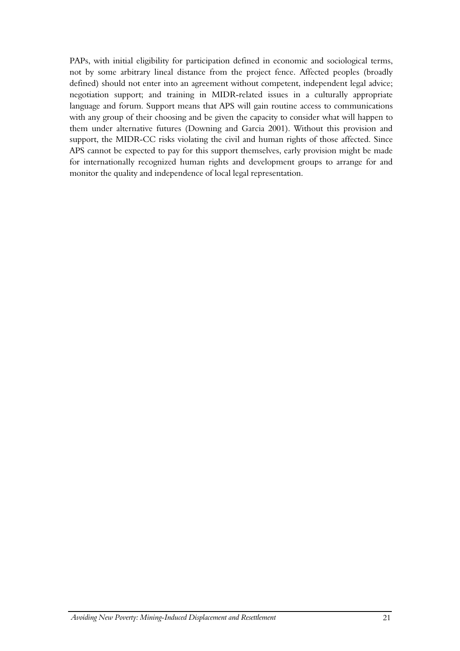PAPs, with initial eligibility for participation defined in economic and sociological terms, not by some arbitrary lineal distance from the project fence. Affected peoples (broadly defined) should not enter into an agreement without competent, independent legal advice; negotiation support; and training in MIDR-related issues in a culturally appropriate language and forum. Support means that APS will gain routine access to communications with any group of their choosing and be given the capacity to consider what will happen to them under alternative futures (Downing and Garcia 2001). Without this provision and support, the MIDR-CC risks violating the civil and human rights of those affected. Since APS cannot be expected to pay for this support themselves, early provision might be made for internationally recognized human rights and development groups to arrange for and monitor the quality and independence of local legal representation.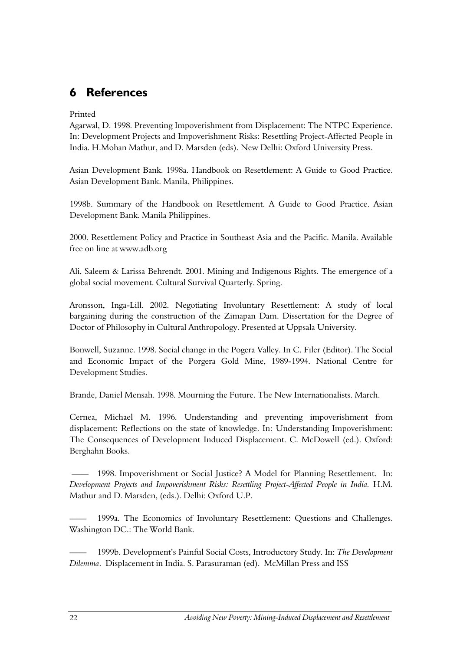### <span id="page-21-0"></span>**6 References**

### Printed

Agarwal, D. 1998. Preventing Impoverishment from Displacement: The NTPC Experience. In: Development Projects and Impoverishment Risks: Resettling Project-Affected People in India. H.Mohan Mathur, and D. Marsden (eds). New Delhi: Oxford University Press.

Asian Development Bank. 1998a. Handbook on Resettlement: A Guide to Good Practice. Asian Development Bank. Manila, Philippines.

1998b. Summary of the Handbook on Resettlement. A Guide to Good Practice. Asian Development Bank. Manila Philippines.

2000. Resettlement Policy and Practice in Southeast Asia and the Pacific. Manila. Available free on line at www.adb.org

Ali, Saleem & Larissa Behrendt. 2001. Mining and Indigenous Rights. The emergence of a global social movement. Cultural Survival Quarterly. Spring.

Aronsson, Inga-Lill. 2002. Negotiating Involuntary Resettlement: A study of local bargaining during the construction of the Zimapan Dam. Dissertation for the Degree of Doctor of Philosophy in Cultural Anthropology. Presented at Uppsala University.

Bonwell, Suzanne. 1998. Social change in the Pogera Valley. In C. Filer (Editor). The Social and Economic Impact of the Porgera Gold Mine, 1989-1994. National Centre for Development Studies.

Brande, Daniel Mensah. 1998. Mourning the Future. The New Internationalists. March.

Cernea, Michael M. 1996. Understanding and preventing impoverishment from displacement: Reflections on the state of knowledge. In: Understanding Impoverishment: The Consequences of Development Induced Displacement. C. McDowell (ed.). Oxford: Berghahn Books.

1998. Impoverishment or Social Justice? A Model for Planning Resettlement. In: *Development Projects and Impoverishment Risks: Resettling Project-Affected People in India.* H.M. Mathur and D. Marsden, (eds.). Delhi: Oxford U.P.

1999a. The Economics of Involuntary Resettlement: Questions and Challenges. Washington DC.: The World Bank.

—— 1999b. Development's Painful Social Costs, Introductory Study. In: *The Development Dilemma*. Displacement in India. S. Parasuraman (ed). McMillan Press and ISS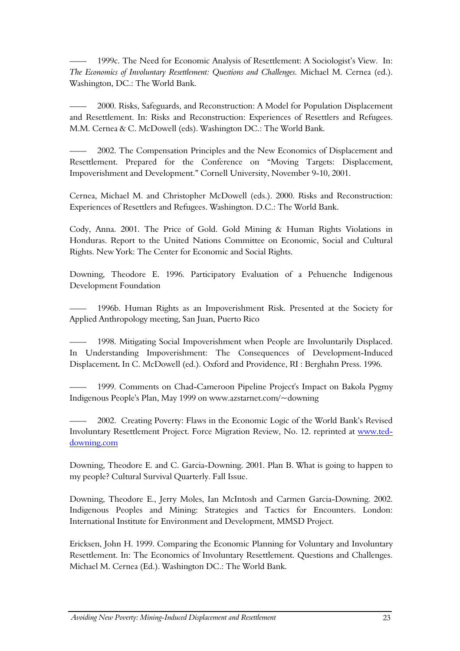1999c. The Need for Economic Analysis of Resettlement: A Sociologist's View. In: *The Economics of Involuntary Resettlement: Questions and Challenges.* Michael M. Cernea (ed.). Washington, DC.: The World Bank.

—— 2000. Risks, Safeguards, and Reconstruction: A Model for Population Displacement and Resettlement. In: Risks and Reconstruction: Experiences of Resettlers and Refugees. M.M. Cernea & C. McDowell (eds). Washington DC.: The World Bank.

—— 2002. The Compensation Principles and the New Economics of Displacement and Resettlement. Prepared for the Conference on "Moving Targets: Displacement, Impoverishment and Development." Cornell University, November 9-10, 2001.

Cernea, Michael M. and Christopher McDowell (eds.). 2000. Risks and Reconstruction: Experiences of Resettlers and Refugees. Washington. D.C.: The World Bank.

Cody, Anna. 2001. The Price of Gold. Gold Mining & Human Rights Violations in Honduras. Report to the United Nations Committee on Economic, Social and Cultural Rights. New York: The Center for Economic and Social Rights.

Downing, Theodore E. 1996. Participatory Evaluation of a Pehuenche Indigenous Development Foundation

—— 1996b. Human Rights as an Impoverishment Risk. Presented at the Society for Applied Anthropology meeting, San Juan, Puerto Rico

1998. Mitigating Social Impoverishment when People are Involuntarily Displaced. In Understanding Impoverishment: The Consequences of Development-Induced Displacement**.** In C. McDowell (ed.). Oxford and Providence, RI : Berghahn Press. 1996.

1999. Comments on Chad-Cameroon Pipeline Project's Impact on Bakola Pygmy Indigenous People's Plan, May 1999 on www.azstarnet.com/~downing

—— 2002. Creating Poverty: Flaws in the Economic Logic of the World Bank's Revised Involuntary Resettlement Project. Force Migration Review, No. 12. reprinted at [www.ted](http://www.ted-downing.com/)[downing.com](http://www.ted-downing.com/) 

Downing, Theodore E. and C. Garcia-Downing. 2001. Plan B. What is going to happen to my people? Cultural Survival Quarterly. Fall Issue.

Downing, Theodore E., Jerry Moles, Ian McIntosh and Carmen Garcia-Downing. 2002. Indigenous Peoples and Mining: Strategies and Tactics for Encounters. London: International Institute for Environment and Development, MMSD Project.

Ericksen, John H. 1999. Comparing the Economic Planning for Voluntary and Involuntary Resettlement. In: The Economics of Involuntary Resettlement. Questions and Challenges. Michael M. Cernea (Ed.). Washington DC.: The World Bank.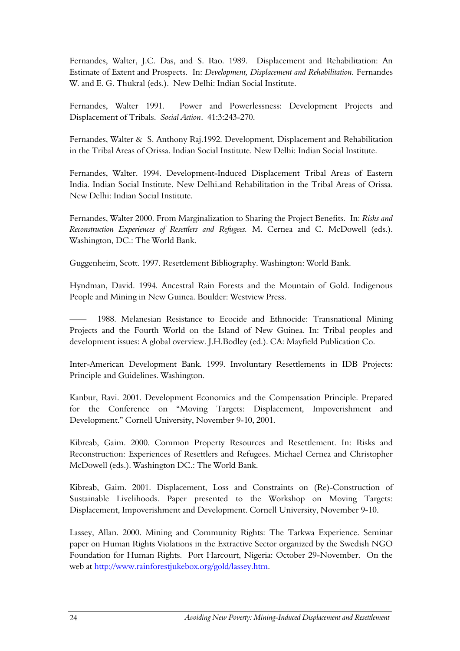Fernandes, Walter, J.C. Das, and S. Rao. 1989. Displacement and Rehabilitation: An Estimate of Extent and Prospects. In: *Development, Displacement and Rehabilitation.* Fernandes W. and E. G. Thukral (eds.). New Delhi: Indian Social Institute.

Fernandes, Walter 1991. Power and Powerlessness: Development Projects and Displacement of Tribals. *Social Action*. 41:3:243-270.

Fernandes, Walter & S. Anthony Raj.1992. Development, Displacement and Rehabilitation in the Tribal Areas of Orissa. Indian Social Institute. New Delhi: Indian Social Institute.

Fernandes, Walter. 1994. Development-Induced Displacement Tribal Areas of Eastern India. Indian Social Institute. New Delhi.and Rehabilitation in the Tribal Areas of Orissa. New Delhi: Indian Social Institute.

Fernandes, Walter 2000. From Marginalization to Sharing the Project Benefits. In: *Risks and Reconstruction Experiences of Resettlers and Refugees.* M. Cernea and C. McDowell (eds.). Washington, DC.: The World Bank.

Guggenheim, Scott. 1997. Resettlement Bibliography. Washington: World Bank.

Hyndman, David. 1994. Ancestral Rain Forests and the Mountain of Gold. Indigenous People and Mining in New Guinea. Boulder: Westview Press.

1988. Melanesian Resistance to Ecocide and Ethnocide: Transnational Mining Projects and the Fourth World on the Island of New Guinea. In: Tribal peoples and development issues: A global overview. J.H.Bodley (ed.). CA: Mayfield Publication Co.

Inter-American Development Bank. 1999. Involuntary Resettlements in IDB Projects: Principle and Guidelines. Washington.

Kanbur, Ravi. 2001. Development Economics and the Compensation Principle. Prepared for the Conference on "Moving Targets: Displacement, Impoverishment and Development." Cornell University, November 9-10, 2001.

Kibreab, Gaim. 2000. Common Property Resources and Resettlement. In: Risks and Reconstruction: Experiences of Resettlers and Refugees. Michael Cernea and Christopher McDowell (eds.). Washington DC.: The World Bank.

Kibreab, Gaim. 2001. Displacement, Loss and Constraints on (Re)-Construction of Sustainable Livelihoods. Paper presented to the Workshop on Moving Targets: Displacement, Impoverishment and Development. Cornell University, November 9-10.

Lassey, Allan. 2000. Mining and Community Rights: The Tarkwa Experience. Seminar paper on Human Rights Violations in the Extractive Sector organized by the Swedish NGO Foundation for Human Rights. Port Harcourt, Nigeria: October 29-November. On the web at [http://www.rainforestjukebox.org/gold/lassey.htm.](http://www.rainforestjukebox.org/gold/lassey.htm)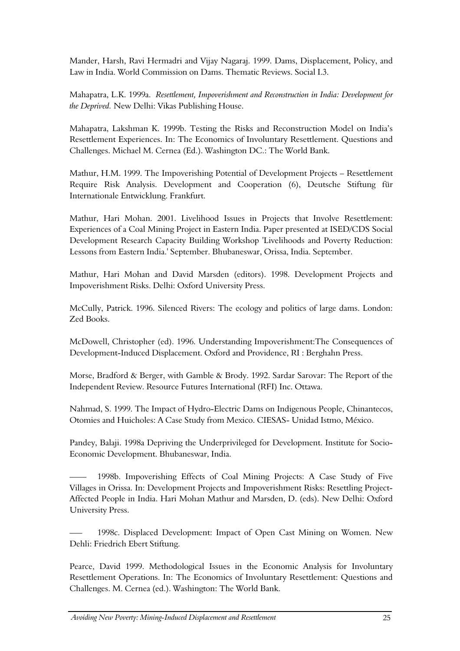Mander, Harsh, Ravi Hermadri and Vijay Nagaraj. 1999. Dams, Displacement, Policy, and Law in India. World Commission on Dams. Thematic Reviews. Social I.3.

Mahapatra, L.K. 1999a. *Resettlement, Impoverishment and Reconstruction in India: Development for the Deprived.* New Delhi: Vikas Publishing House.

Mahapatra, Lakshman K. 1999b. Testing the Risks and Reconstruction Model on India's Resettlement Experiences. In: The Economics of Involuntary Resettlement. Questions and Challenges. Michael M. Cernea (Ed.). Washington DC.: The World Bank.

Mathur, H.M. 1999. The Impoverishing Potential of Development Projects – Resettlement Require Risk Analysis. Development and Cooperation (6), Deutsche Stiftung für Internationale Entwicklung. Frankfurt.

Mathur, Hari Mohan. 2001. Livelihood Issues in Projects that Involve Resettlement: Experiences of a Coal Mining Project in Eastern India. Paper presented at ISED/CDS Social Development Research Capacity Building Workshop 'Livelihoods and Poverty Reduction: Lessons from Eastern India.' September. Bhubaneswar, Orissa, India. September.

Mathur, Hari Mohan and David Marsden (editors). 1998. Development Projects and Impoverishment Risks. Delhi: Oxford University Press.

McCully, Patrick. 1996. Silenced Rivers: The ecology and politics of large dams. London: Zed Books.

McDowell, Christopher (ed). 1996. Understanding Impoverishment:The Consequences of Development-Induced Displacement. Oxford and Providence, RI : Berghahn Press.

Morse, Bradford & Berger, with Gamble & Brody. 1992. Sardar Sarovar: The Report of the Independent Review. Resource Futures International (RFI) Inc. Ottawa.

Nahmad, S. 1999. The Impact of Hydro-Electric Dams on Indigenous People, Chinantecos, Otomies and Huicholes: A Case Study from Mexico. CIESAS- Unidad Istmo, México.

Pandey, Balaji. 1998a Depriving the Underprivileged for Development. Institute for Socio-Economic Development. Bhubaneswar, India.

—— 1998b. Impoverishing Effects of Coal Mining Projects: A Case Study of Five Villages in Orissa. In: Development Projects and Impoverishment Risks: Resettling Project-Affected People in India. Hari Mohan Mathur and Marsden, D. (eds). New Delhi: Oxford University Press.

1998c. Displaced Development: Impact of Open Cast Mining on Women. New Dehli: Friedrich Ebert Stiftung.

Pearce, David 1999. Methodological Issues in the Economic Analysis for Involuntary Resettlement Operations. In: The Economics of Involuntary Resettlement: Questions and Challenges. M. Cernea (ed.). Washington: The World Bank.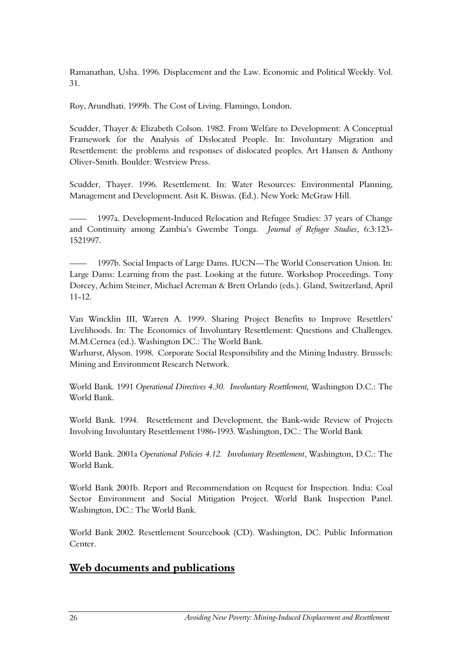Ramanathan, Usha. 1996. Displacement and the Law. Economic and Political Weekly. Vol. 31.

Roy, Arundhati. 1999b. The Cost of Living. Flamingo, London.

Scudder, Thayer & Elizabeth Colson. 1982. From Welfare to Development: A Conceptual Framework for the Analysis of Dislocated People. In: Involuntary Migration and Resettlement: the problems and responses of dislocated peoples. Art Hansen & Anthony Oliver-Smith. Boulder: Westview Press.

Scudder, Thayer. 1996. Resettlement. In: Water Resources: Environmental Planning, Management and Development. Asit K. Biswas. (Ed.). New York: McGraw Hill.

—— 1997a. Development-Induced Relocation and Refugee Studies: 37 years of Change and Continuity among Zambia's Gwembe Tonga. *Journal of Refugee Studies*, 6:3:123- 1521997.

1997b. Social Impacts of Large Dams. IUCN—The World Conservation Union. In: Large Dams: Learning from the past. Looking at the future. Workshop Proceedings. Tony Dorcey, Achim Steiner, Michael Acreman & Brett Orlando (eds.). Gland, Switzerland, April 11-12.

Van Wincklin III, Warren A. 1999. Sharing Project Benefits to Improve Resettlers' Livelihoods. In: The Economics of Involuntary Resettlement: Questions and Challenges. M.M.Cernea (ed.). Washington DC.: The World Bank.

Warhurst, Alyson. 1998. Corporate Social Responsibility and the Mining Industry. Brussels: Mining and Environment Research Network.

World Bank. 1991 *Operational Directives 4.30. Involuntary Resettlement,* Washington D.C.: The World Bank.

World Bank. 1994. Resettlement and Development, the Bank-wide Review of Projects Involving Involuntary Resettlement 1986-1993. Washington, DC.: The World Bank

World Bank. 2001a *Operational Policies 4.12. Involuntary Resettlement*, Washington, D.C.: The World Bank.

World Bank 2001b. Report and Recommendation on Request for Inspection. India: Coal Sector Environment and Social Mitigation Project. World Bank Inspection Panel. Washington, DC.: The World Bank.

World Bank 2002. Resettlement Sourcebook (CD). Washington, DC. Public Information Center.

### **Web documents and publications**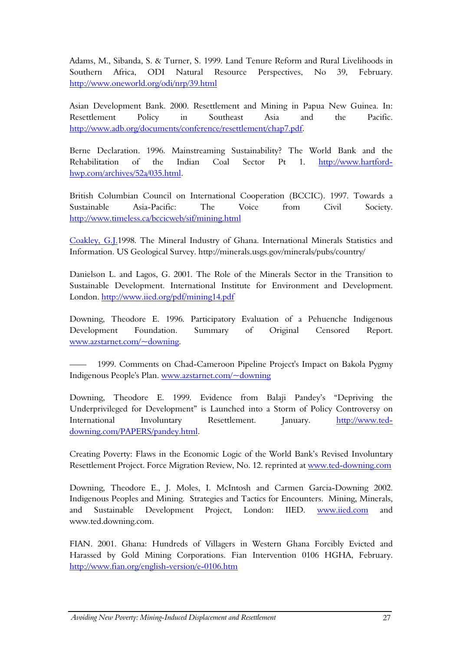Adams, M., Sibanda, S. & Turner, S. 1999. Land Tenure Reform and Rural Livelihoods in Southern Africa, ODI Natural Resource Perspectives, No 39, February. <http://www.oneworld.org/odi/nrp/39.html>

Asian Development Bank. 2000. Resettlement and Mining in Papua New Guinea. In: Resettlement Policy in Southeast Asia and the Pacific. [http://www.adb.org/documents/conference/resettlement/chap7.pdf.](http://www.adb.org/documents/conference/resettlement/chap7.pdf)

Berne Declaration. 1996. Mainstreaming Sustainability? The World Bank and the Rehabilitation of the Indian Coal Sector Pt 1. [http://www.hartford](http://www.hartford-hwp.com/archives/52a/035.html)[hwp.com/archives/52a/035.html.](http://www.hartford-hwp.com/archives/52a/035.html)

British Columbian Council on International Cooperation (BCCIC). 1997. Towards a Sustainable Asia-Pacific: The Voice from Civil Society. <http://www.timeless.ca/bccicweb/sif/mining.html>

[Coakley, G.J.1](http://minerals.usgs.gov/minerals/pubs/country/9213098.pdf)998. The Mineral Industry of Ghana. International Minerals Statistics and Information. US Geological Survey. http://minerals.usgs.gov/minerals/pubs/country/

Danielson L. and Lagos, G. 2001. The Role of the Minerals Sector in the Transition to Sustainable Development. International Institute for Environment and Development. London.<http://www.iied.org/pdf/mining14.pdf>

Downing, Theodore E. 1996. Participatory Evaluation of a Pehuenche Indigenous Development Foundation. Summary of Original Censored Report. [www.azstarnet.com/~downing.](http://www.azstarnet.com/~downing)

1999. Comments on Chad-Cameroon Pipeline Project's Impact on Bakola Pygmy Indigenous People's Plan. [www.azstarnet.com/~downing](http://www.azstarnet.com/~downing) 

Downing, Theodore E. 1999. Evidence from Balaji Pandey's "Depriving the Underprivileged for Development" is Launched into a Storm of Policy Controversy on International Involuntary Resettlement. January. [http://www.ted](http://www.ted-downing.com/PAPERS/pandey.html)[downing.com/PAPERS/pandey.html.](http://www.ted-downing.com/PAPERS/pandey.html)

Creating Poverty: Flaws in the Economic Logic of the World Bank's Revised Involuntary Resettlement Project. Force Migration Review, No. 12. reprinted at [www.ted-downing.com](http://www.ted-downing.com/) 

Downing, Theodore E., J. Moles, I. McIntosh and Carmen Garcia-Downing 2002. Indigenous Peoples and Mining. Strategies and Tactics for Encounters. Mining, Minerals, and Sustainable Development Project, London: IIED. [www.iied.com](http://www.iied.com/) and www.ted.downing.com.

FIAN. 2001. Ghana: Hundreds of Villagers in Western Ghana Forcibly Evicted and Harassed by Gold Mining Corporations. Fian Intervention 0106 HGHA, February. <http://www.fian.org/english-version/e-0106.htm>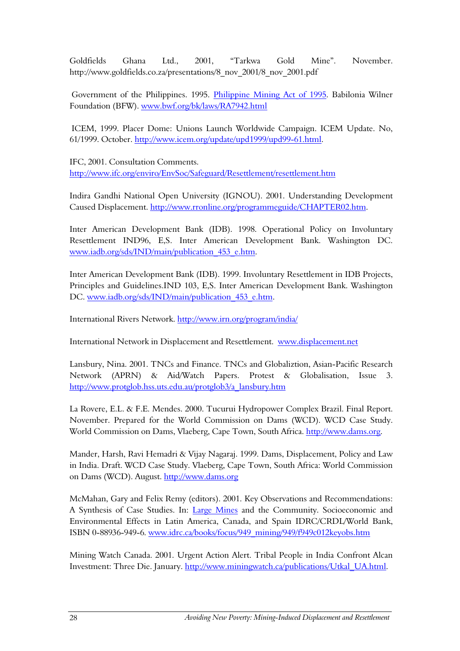Goldfields Ghana Ltd., 2001, "Tarkwa Gold Mine". November. http://www.goldfields.co.za/presentations/8\_nov\_2001/8\_nov\_2001.pdf

 Government of the Philippines. 1995. [Philippine Mining Act of 1995.](http://www.bknet.org/laws/RA7942.html) Babilonia Wilner Foundation (BFW). [www.bwf.org/bk/laws/RA7942.html](http://www.bwf.org/bk/laws/RA7942.html)

 ICEM, 1999. Placer Dome: Unions Launch Worldwide Campaign. ICEM Update. No, 61/1999. October. [http://www.icem.org/update/upd1999/upd99-61.html.](http://www.icem.org/update/upd1999/upd99-61.html)

IFC, 2001. Consultation Comments. <http://www.ifc.org/enviro/EnvSoc/Safeguard/Resettlement/resettlement.htm>

Indira Gandhi National Open University (IGNOU). 2001. Understanding Development Caused Displacement. [http://www.rronline.org/programmeguide/CHAPTER02.htm.](http://www.rronline.org/programmeguide/CHAPTER02.htm)

Inter American Development Bank (IDB). 1998. Operational Policy on Involuntary Resettlement IND96, E,S. Inter American Development Bank. Washington DC. [www.iadb.org/sds/IND/main/publication\\_453\\_e.htm.](http://www.iadb.org/sds/IND/main/publication_453_e.htm)

Inter American Development Bank (IDB). 1999. Involuntary Resettlement in IDB Projects, Principles and Guidelines.IND 103, E,S. Inter American Development Bank. Washington DC. www.iadb.org/sds/IND/main/publication 453 e.htm.

International Rivers Network.<http://www.irn.org/program/india/>

International Network in Displacement and Resettlement. [www.displacement.net](http://www.displacement.net/) 

Lansbury, Nina. 2001. TNCs and Finance. TNCs and Globaliztion, Asian-Pacific Research Network (APRN) & Aid/Watch Papers. Protest & Globalisation, Issue 3. [http://www.protglob.hss.uts.edu.au/protglob3/a\\_lansbury.htm](http://www.protglob.hss.uts.edu.au/protglob3/a_lansbury.htm)

La Rovere, E.L. & F.E. Mendes. 2000. Tucurui Hydropower Complex Brazil. Final Report. November. Prepared for the World Commission on Dams (WCD). WCD Case Study. World Commission on Dams, Vlaeberg, Cape Town, South Africa. [http://www.dams.org.](http://www.dams.org/)

Mander, Harsh, Ravi Hemadri & Vijay Nagaraj. 1999. Dams, Displacement, Policy and Law in India. Draft. WCD Case Study. Vlaeberg, Cape Town, South Africa: World Commission on Dams (WCD). August. [http://www.dams.org](http://www.dams.org/) 

McMahan, Gary and Felix Remy (editors). 2001. Key Observations and Recommendations: A Synthesis of Case Studies. In: [Large Mines](http://www.oneworld.net/cgi-bin/index.cgi?root=129&url=http://www.idrc.ca/books/focus/949_mining/949/f949c012keyobs.htm) and the Community. Socioeconomic and Environmental Effects in Latin America, Canada, and Spain IDRC/CRDL/World Bank, ISBN 0-88936-949-6. [www.idrc.ca/books/focus/949\\_mining/949/f949c012keyobs.htm](http://www.idrc.ca/books/focus/949_mining/949/f949c012keyobs.htm)

Mining Watch Canada. 2001. Urgent Action Alert. Tribal People in India Confront Alcan Investment: Three Die. January. [http://www.miningwatch.ca/publications/Utkal\\_UA.html.](http://www.miningwatch.ca/publications/Utkal_UA.html)